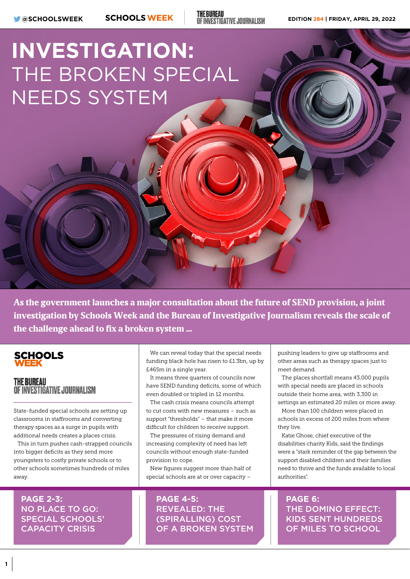**THE BUREAU** OF INVESTIGATIVE JOURNALISM

# **INVESTIGATION:** THE BROKEN SPECIAL NEEDS SYSTEM

As the government launches a major consultation about the future of SEND provision, a joint investigation by Schools Week and the Bureau of Investigative Journalism reveals the scale of the challenge ahead to fix a broken system …

### **SCHOOLS**

#### **THE BUREAU OF INVESTIGATIVE JOURNALISM**

State-funded special schools are setting up classrooms in staffrooms and converting therapy spaces as a surge in pupils with additional needs creates a places crisis.

This in turn pushes cash-strapped councils into bigger deficits as they send more youngsters to costly private schools or to other schools sometimes hundreds of miles away.

**PAGE 2-3:**  NO PLACE TO GO: SPECIAL SCHOOLS' CAPACITY CRISIS

We can reveal today that the special needs funding black hole has risen to £1.3bn, up by £465m in a single year.

It means three quarters of councils now have SEND funding deficits, some of which even doubled or tripled in 12 months.

The cash crisis means councils attempt to cut costs with new measures – such as support "thresholds" – that make it more difficult for children to receive support.

The pressures of rising demand and increasing complexity of need has left councils without enough state-funded provision to cope.

New figures suggest more than half of special schools are at or over capacity –

**PAGE 4-5:**  REVEALED: THE (SPIRALLING) COST OF A BROKEN SYSTEM

pushing leaders to give up staffrooms and other areas such as therapy spaces just to meet demand.

The places shortfall means 43,000 pupils with special needs are placed in schools outside their home area, with 3,300 in settings an estimated 20 miles or more away.

More than 100 children were placed in schools in excess of 200 miles from where they live.

Katie Ghose, chief executive of the disabilities charity Kids, said the findings were a "stark reminder of the gap between the support disabled children and their families need to thrive and the funds available to local authorities".

**PAGE 6:**  THE DOMINO EFFECT: KIDS SENT HUNDREDS OF MILES TO SCHOOL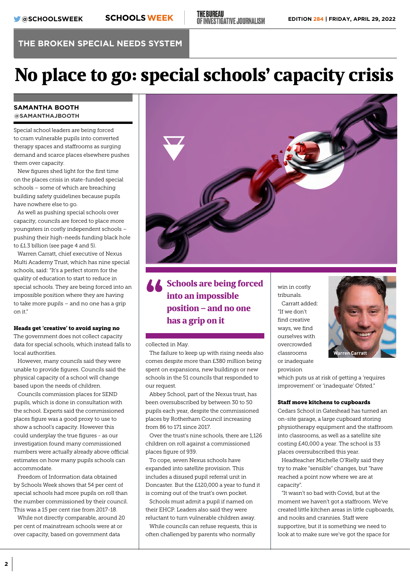## No place to go: special schools' capacity crisis

#### **SAMANTHA BOOTH @SAMANTHAJBOOTH**

Special school leaders are being forced to cram vulnerable pupils into converted therapy spaces and staffrooms as surging demand and scarce places elsewhere pushes them over capacity.

New figures shed light for the first time on the places crisis in state-funded special schools – some of which are breaching building safety guidelines because pupils have nowhere else to go.

As well as pushing special schools over capacity, councils are forced to place more youngsters in costly independent schools – pushing their high-needs funding black hole to £1.3 billion (see page 4 and 5).

Warren Carratt, chief executive of Nexus Multi Academy Trust, which has nine special schools, said: "It's a perfect storm for the quality of education to start to reduce in special schools. They are being forced into an impossible position where they are having to take more pupils – and no one has a grip  $on$  it."

#### Heads get 'creative' to avoid saying no

The government does not collect capacity data for special schools, which instead falls to local authorities.

However, many councils said they were unable to provide figures. Councils said the physical capacity of a school will change based upon the needs of children.

Councils commission places for SEND pupils, which is done in consultation with the school. Experts said the commissioned places figure was a good proxy to use to show a school's capacity. However this could underplay the true figures - as our investigation found many commissioned numbers were actually already above official estimates on how many pupils schools can accommodate.

Freedom of Information data obtained by Schools Week shows that 54 per cent of special schools had more pupils on roll than the number commissioned by their council. This was a 15 per cent rise from 2017-18.

While not directly comparable, around 20 per cent of mainstream schools were at or over capacity, based on government data



 $\begin{array}{c} \text{\bf \textcolor{blue}{\bullet} \textcolor{blue}{\textcolor{blue}{\bullet}} \textcolor{blue}{\textcolor{blue}{\textcolor{blue}{\bullet}}} \textcolor{blue}{\textcolor{blue}{\textcolor{blue}{\bullet}}} \textcolor{blue}{\textcolor{blue}{\textcolor{blue}{\bullet}}} \textcolor{blue}{\textcolor{blue}{\textcolor{blue}{\textcolor{blue}{\bullet}}} \textcolor{blue}{\textcolor{blue}{\textcolor{blue}{\textcolor{blue}{\bullet}}}} \textcolor{blue}{\textcolor{blue}{\textcolor{blue}{\textcolor{blue}{\textcolor{blue}{\bullet}}}}} \textcolor{blue}{\textcolor{blue}{\textcolor{blue}{\textcolor{blue}{\textcolor{blue}{\bullet}}}}}$ into an impossible position – and no one has a grip on it

collected in May.

The failure to keep up with rising needs also comes despite more than £380 million being spent on expansions, new buildings or new schools in the 51 councils that responded to our request.

Abbey School, part of the Nexus trust, has been oversubscribed by between 30 to 50 pupils each year, despite the commissioned places by Rotherham Council increasing from 86 to 171 since 2017.

Over the trust's nine schools, there are 1126 children on roll against a commissioned places figure of 939.

To cope, seven Nexus schools have expanded into satellite provision. This includes a disused pupil referral unit in Doncaster. But the £120,000 a year to fund it is coming out of the trust's own pocket.

Schools must admit a pupil if named on their EHCP. Leaders also said they were reluctant to turn vulnerable children away.

While councils can refuse requests, this is often challenged by parents who normally

win in costly tribunals. Carratt added: "If we don't find creative ways, we find ourselves with overcrowded classrooms or inadequate provision



which puts us at risk of getting a 'requires improvement' or 'inadequate' Ofsted."

#### Staff move kitchens to cupboards

Cedars School in Gateshead has turned an on-site garage, a large cupboard storing physiotherapy equipment and the staffroom into classrooms, as well as a satellite site costing £40,000 a year. The school is 33 places oversubscribed this year.

Headteacher Michelle O'Rielly said they try to make "sensible" changes, but "have reached a point now where we are at capacity".

"It wasn't so bad with Covid, but at the moment we haven't got a staffroom. We've created little kitchen areas in little cupboards, and nooks and crannies. Staff were supportive, but it is something we need to look at to make sure we've got the space for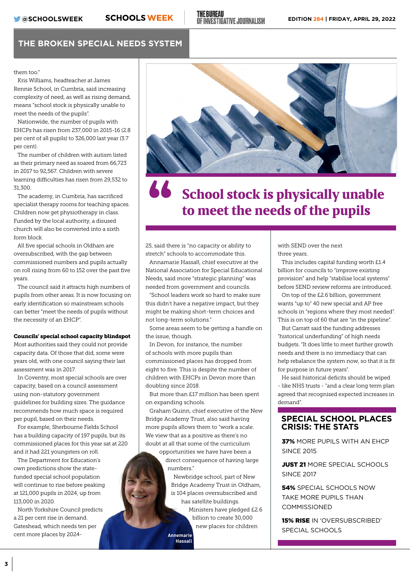them too"

Kris Williams, headteacher at James Rennie School, in Cumbria, said increasing complexity of need, as well as rising demand, means "school stock is physically unable to meet the needs of the pupils".

Nationwide, the number of pupils with EHCPs has risen from 237,000 in 2015-16 (2.8 per cent of all pupils) to 326,000 last year (3.7 per cent).

The number of children with autism listed as their primary need as soared from 66,723 in 2017 to 92,567. Children with severe learning difficulties has risen from 29,532 to 31,300.

The academy, in Cumbria, has sacrificed specialist therapy rooms for teaching spaces. Children now get physiotherapy in class. Funded by the local authority, a disused church will also be converted into a sixth form block.

All five special schools in Oldham are oversubscribed, with the gap between commissioned numbers and pupils actually on roll rising from 60 to 152 over the past five years.

The council said it attracts high numbers of pupils from other areas. It is now focusing on early identification so mainstream schools can better "meet the needs of pupils without the necessity of an EHCP".

#### Councils' special school capacity blindspot

Most authorities said they could not provide capacity data. Of those that did, some were years old, with one council saying their last assessment was in 2017.

In Coventry, most special schools are over capacity, based on a council assessment using non-statutory government guidelines for building sizes. The guidance recommends how much space is required per pupil, based on their needs.

For example, Sherbourne Fields School has a building capacity of 197 pupils, but its commissioned places for this year sat at 220 and it had 221 youngsters on roll.

The Department for Education's own predictions show the statefunded special school population will continue to rise before peaking at 121,000 pupils in 2024, up from 113,000 in 2020.

North Yorkshire Council predicts a 21 per cent rise in demand. Gateshead, which needs ten per cent more places by 2024-



## School stock is physically unable " to meet the needs of the pupils

25, said there is "no capacity or ability to stretch" schools to accommodate this.

Annamarie Hassall, chief executive at the National Association for Special Educational Needs, said more "strategic planning" was needed from government and councils.

"School leaders work so hard to make sure this didn't have a negative impact, but they might be making short-term choices and not long-term solutions."

Some areas seem to be getting a handle on the issue, though.

In Devon, for instance, the number of schools with more pupils than commissioned places has dropped from eight to five. This is despite the number of children with EHCPs in Devon more than doubling since 2018.

But more than £17 million has been spent on expanding schools.

Graham Quinn, chief executive of the New Bridge Academy Trust, also said having more pupils allows them to "work a scale. We view that as a positive as there's no doubt at all that some of the curriculum opportunities we have have been a

direct consequence of having large numbers."

Newbridge school, part of New Bridge Academy Trust in Oldham, is 104 places oversubscribed and has satellite buildings. Ministers have pledged £2.6 billion to create 30,000 new places for children

**Annemarie Hassall** with SEND over the next three years.

This includes capital funding worth £1.4 billion for councils to "improve existing provision" and help "stabilise local systems" before SEND review reforms are introduced.

On top of the £2.6 billion, government wants "up to" 40 new special and AP free schools in "regions where they most needed". This is on top of 60 that are "in the pipeline".

But Carratt said the funding addresses "historical underfunding" of high needs budgets. "It does little to meet further growth needs and there is no immediacy that can help rebalance the system now, so that it is fit for purpose in future years".

He said historical deficits should be wiped - like NHS trusts - "and a clear long term plan agreed that recognised expected increases in demand".

#### **SPECIAL SCHOOL PLACES CRISIS: THE STATS**

37% MORE PUPILS WITH AN FHCP SINCE 2015

JUST 21 MORE SPECIAL SCHOOLS SINCE 2017

54% SPECIAL SCHOOLS NOW TAKE MORE PUPILS THAN COMMISSIONED

15% RISE IN 'OVERSUBSCRIBED' SPECIAL SCHOOLS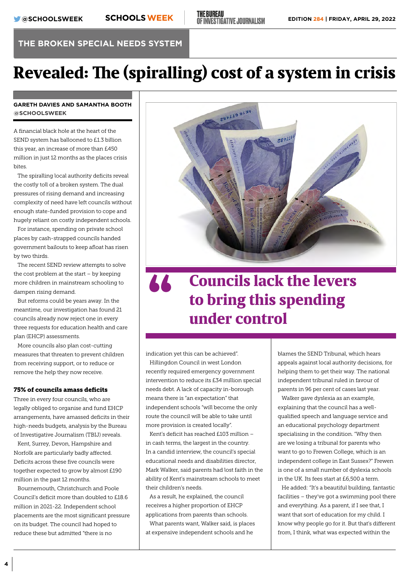## Revealed: The (spiralling) cost of a system in crisis

#### **GARETH DAVIES AND SAMANTHA BOOTH @SCHOOLSWEEK**

A financial black hole at the heart of the SEND system has ballooned to £1.3 billion this year, an increase of more than £450 million in just 12 months as the places crisis bites.

The spiralling local authority deficits reveal the costly toll of a broken system. The dual pressures of rising demand and increasing complexity of need have left councils without enough state-funded provision to cope and hugely reliant on costly independent schools.

For instance, spending on private school places by cash-strapped councils handed government bailouts to keep afloat has risen by two thirds.

The recent SEND review attempts to solve the cost problem at the start – by keeping more children in mainstream schooling to dampen rising demand.

But reforms could be years away. In the meantime, our investigation has found 21 councils already now reject one in every three requests for education health and care plan (EHCP) assessments.

More councils also plan cost-cutting measures that threaten to prevent children from receiving support, or to reduce or remove the help they now receive.

#### 75% of councils amass deficits

Three in every four councils, who are legally obliged to organise and fund EHCP arrangements, have amassed deficits in their high-needs budgets, analysis by the Bureau of Investigative Journalism (TBIJ) reveals.

Kent, Surrey, Devon, Hampshire and Norfolk are particularly badly affected. Deficits across these five councils were together expected to grow by almost £190 million in the past 12 months.

Bournemouth, Christchurch and Poole Council's deficit more than doubled to £18.6 million in 2021-22. Independent school placements are the most significant pressure on its budget. The council had hoped to reduce these but admitted "there is no



### Councils lack the levers to bring this spending " under control

indication yet this can be achieved".

Hillingdon Council in west London recently required emergency government intervention to reduce its £34 million special needs debt. A lack of capacity in-borough means there is "an expectation" that independent schools "will become the only route the council will be able to take until more provision is created locally".

Kent's deficit has reached £103 million – in cash terms, the largest in the country. In a candid interview, the council's special educational needs and disabilities director, Mark Walker, said parents had lost faith in the ability of Kent's mainstream schools to meet their children's needs.

As a result, he explained, the council receives a higher proportion of EHCP applications from parents than schools.

What parents want, Walker said, is places at expensive independent schools and he

blames the SEND Tribunal, which hears appeals against local authority decisions, for helping them to get their way. The national independent tribunal ruled in favour of parents in 96 per cent of cases last year.

Walker gave dyslexia as an example, explaining that the council has a wellqualified speech and language service and an educational psychology department specialising in the condition. "Why then are we losing a tribunal for parents who want to go to Frewen College, which is an independent college in East Sussex?" Frewen is one of a small number of dyslexia schools in the UK. Its fees start at £6,500 a term.

He added: "It's a beautiful building, fantastic facilities – they've got a swimming pool there and everything. As a parent, if I see that, I want that sort of education for my child. I know why people go for it. But that's different from, I think, what was expected within the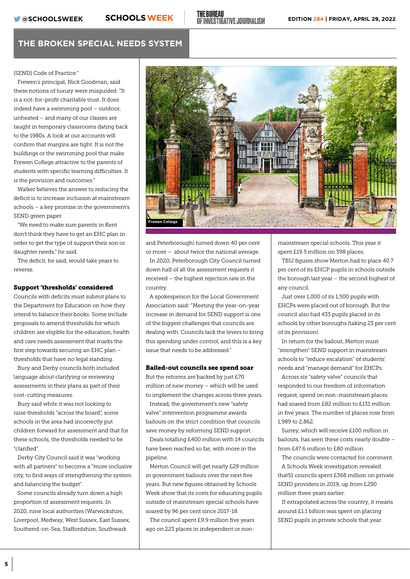[SEND] Code of Practice."

Frewen's principal, Nick Goodman, said these notions of luxury were misguided. "It is a not-for-profit charitable trust. It does indeed have a swimming pool – outdoor, unheated – and many of our classes are taught in temporary classrooms dating back to the 1980s. A look at our accounts will confirm that margins are tight. It is not the buildings or the swimming pool that make Frewen College attractive to the parents of students with specific learning difficulties. It is the provision and outcomes."

Walker believes the answer to reducing the deficit is to increase inclusion at mainstream schools – a key promise in the government's SEND green paper.

"We need to make sure parents in Kent don't think they have to get an EHC plan in order to get the type of support their son or daughter needs," he said.

The deficit, he said, would take years to reverse.

#### Support 'thresholds' considered

Councils with deficits must submit plans to the Department for Education on how they intend to balance their books. Some include proposals to amend thresholds for which children are eligible for the education, health and care needs assessment that marks the first step towards securing an EHC plan – thresholds that have no legal standing.

Bury and Derby councils both included language about clarifying or reviewing assessments in their plans as part of their cost-cutting measures.

Bury said while it was not looking to raise thresholds "across the board", some schools in the area had incorrectly put children forward for assessment and that for these schools, the thresholds needed to be "clarified".

Derby City Council said it was "working with all partners" to become a "more inclusive city, to find ways of strengthening the system and balancing the budget".

Some councils already turn down a high proportion of assessment requests. In 2020, nine local authorities (Warwickshire, Liverpool, Medway, West Sussex, East Sussex, Southend-on-Sea, Staffordshire, Southwark



and Peterborough) turned down 40 per cent or more – about twice the national average.

In 2020, Peterborough City Council turned down half of all the assessment requests it received – the highest rejection rate in the country.

A spokesperson for the Local Government Association said: "Meeting the year-on-year increase in demand for SEND support is one of the biggest challenges that councils are dealing with. Councils lack the levers to bring this spending under control, and this is a key issue that needs to be addressed."

#### Bailed-out councils see spend soar

But the reforms are backed by just £70 million of new money – which will be used to implement the changes across three years.

Instead, the government's new "safety valve" intervention programme awards bailouts on the strict condition that councils save money by reforming SEND support.

Deals totalling £400 million with 14 councils have been reached so far, with more in the pipeline.

Merton Council will get nearly £29 million in government bailouts over the next five years. But new figures obtained by Schools Week show that its costs for educating pupils outside of mainstream special schools have soared by 96 per cent since 2017-18.

The council spent £9.9 million five years ago on 223 places in independent or non-

mainstream special schools. This year it spent £19.5 million on 398 places.

TBIJ figures show Merton had to place 40.7 per cent of its EHCP pupils in schools outside the borough last year – the second highest of any council.

Just over 1,000 of its 1,500 pupils with EHCPs were placed out of borough. But the council also had 433 pupils placed in its schools by other boroughs (taking 23 per cent of its provision).

In return for the bailout, Merton must "strengthen" SEND support in mainstream schools to "reduce escalation" of students' needs and "manage demand" for EHCPs.

Across six "safety valve" councils that responded to our freedom of information request, spend on non-mainstream places had soared from £82 million to £131 million in five years. The number of places rose from 1,989 to 2,862.

Surrey, which will receive £100 million in bailouts, has seen these costs nearly double – from £47.6 million to £80 million.

The councils were contacted for comment.

A Schools Week investigation revealed that51 councils spent £368 million on private SEND providers in 2019, up from £290 million three years earlier.

If extrapolated across the country, it means around £1.1 billion was spent on placing SEND pupils in private schools that year.

**5**